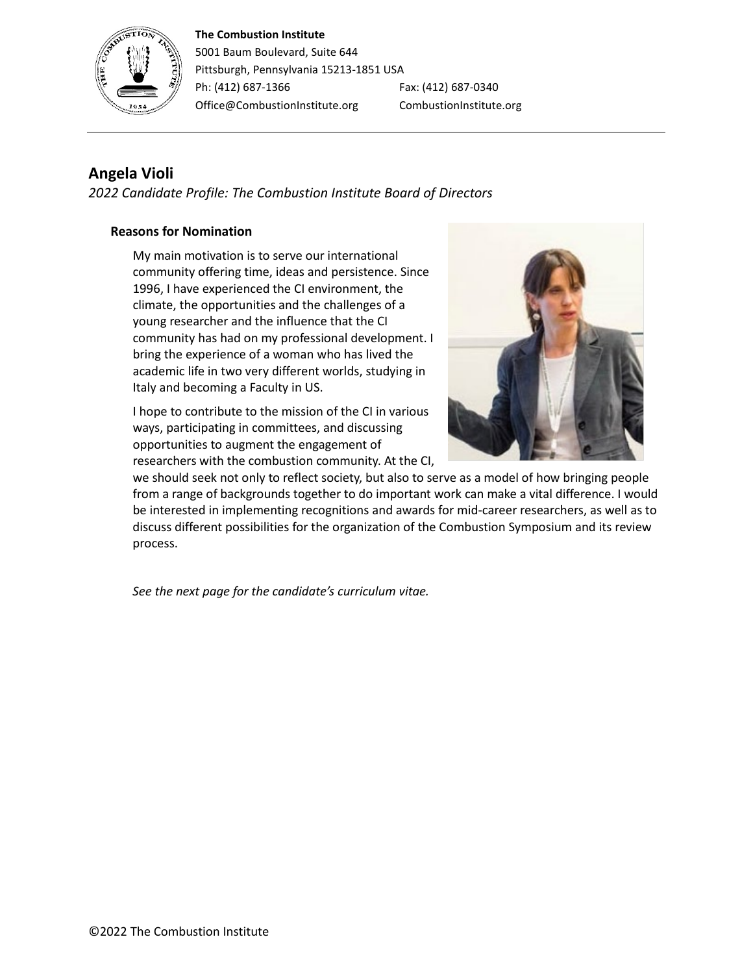#### **The Combustion Institute**



5001 Baum Boulevard, Suite 644 Pittsburgh, Pennsylvania 15213-1851 USA Ph: (412) 687-1366 Fax: (412) 687-0340 Office@CombustionInstitute.org CombustionInstitute.org

# **Angela Violi**

*2022 Candidate Profile: The Combustion Institute Board of Directors*

## **Reasons for Nomination**

My main motivation is to serve our international community offering time, ideas and persistence. Since 1996, I have experienced the CI environment, the climate, the opportunities and the challenges of a young researcher and the influence that the CI community has had on my professional development. I bring the experience of a woman who has lived the academic life in two very different worlds, studying in Italy and becoming a Faculty in US.

I hope to contribute to the mission of the CI in various ways, participating in committees, and discussing opportunities to augment the engagement of researchers with the combustion community. At the CI,



we should seek not only to reflect society, but also to serve as a model of how bringing people from a range of backgrounds together to do important work can make a vital difference. I would be interested in implementing recognitions and awards for mid-career researchers, as well as to discuss different possibilities for the organization of the Combustion Symposium and its review process.

*See the next page for the candidate's curriculum vitae.*